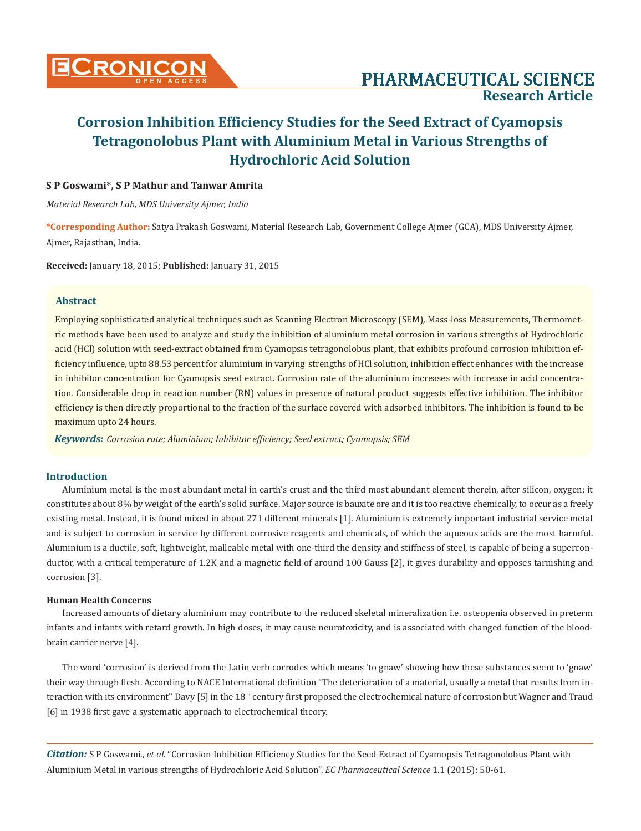

### **S P Goswami\*, S P Mathur and Tanwar Amrita**

*Material Research Lab, MDS University Ajmer, India*

**\*Corresponding Author:** Satya Prakash Goswami, Material Research Lab, Government College Ajmer (GCA), MDS University Ajmer, Ajmer, Rajasthan, India.

**Received:** January 18, 2015; **Published:** January 31, 2015

### **Abstract**

Employing sophisticated analytical techniques such as Scanning Electron Microscopy (SEM), Mass-loss Measurements, Thermometric methods have been used to analyze and study the inhibition of aluminium metal corrosion in various strengths of Hydrochloric acid (HCl) solution with seed-extract obtained from Cyamopsis tetragonolobus plant, that exhibits profound corrosion inhibition efficiency influence, upto 88.53 percent for aluminium in varying strengths of HCl solution, inhibition effect enhances with the increase in inhibitor concentration for Cyamopsis seed extract. Corrosion rate of the aluminium increases with increase in acid concentration. Considerable drop in reaction number (RN) values in presence of natural product suggests effective inhibition. The inhibitor efficiency is then directly proportional to the fraction of the surface covered with adsorbed inhibitors. The inhibition is found to be maximum upto 24 hours.

*Keywords: Corrosion rate; Aluminium; Inhibitor efficiency; Seed extract; Cyamopsis; SEM*

### **Introduction**

Aluminium metal is the most abundant metal in earth's crust and the third most abundant element therein, after silicon, oxygen; it constitutes about 8% by weight of the earth's solid surface. Major source is bauxite ore and it is too reactive chemically, to occur as a freely existing metal. Instead, it is found mixed in about 271 different minerals [1]. Aluminium is extremely important industrial service metal and is subject to corrosion in service by different corrosive reagents and chemicals, of which the aqueous acids are the most harmful. Aluminium is a ductile, soft, lightweight, malleable metal with one-third the density and stiffness of steel, is capable of being a superconductor, with a critical temperature of 1.2K and a magnetic field of around 100 Gauss [2], it gives durability and opposes tarnishing and corrosion [3].

### **Human Health Concerns**

Increased amounts of dietary aluminium may contribute to the reduced skeletal mineralization i.e. osteopenia observed in preterm infants and infants with retard growth. In high doses, it may cause neurotoxicity, and is associated with changed function of the bloodbrain carrier nerve [4].

The word 'corrosion' is derived from the Latin verb corrodes which means 'to gnaw' showing how these substances seem to 'gnaw' their way through flesh. According to NACE International definition "The deterioration of a material, usually a metal that results from interaction with its environment" Davy [5] in the 18<sup>th</sup> century first proposed the electrochemical nature of corrosion but Wagner and Traud [6] in 1938 first gave a systematic approach to electrochemical theory.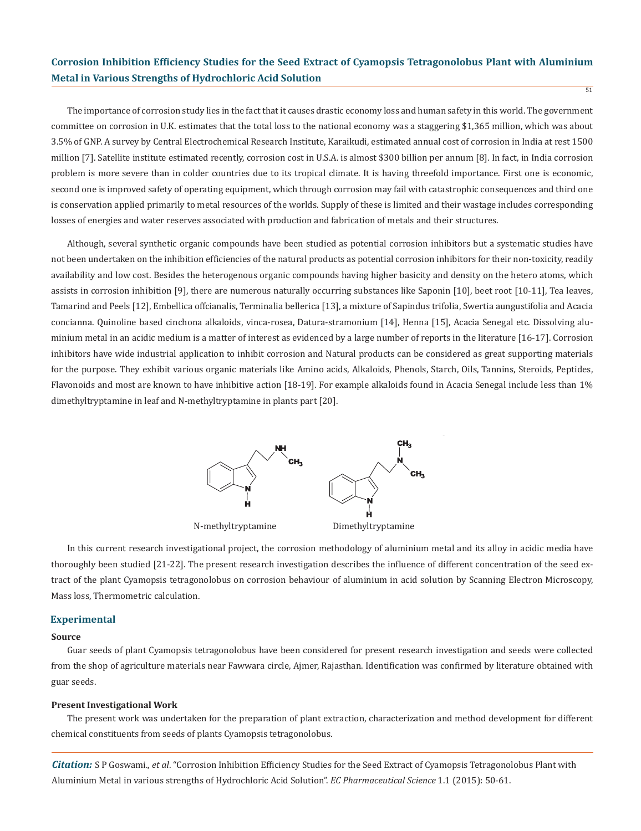51

The importance of corrosion study lies in the fact that it causes drastic economy loss and human safety in this world. The government committee on corrosion in U.K. estimates that the total loss to the national economy was a staggering \$1,365 million, which was about 3.5% of GNP. A survey by Central Electrochemical Research Institute, Karaikudi, estimated annual cost of corrosion in India at rest 1500 million [7]. Satellite institute estimated recently, corrosion cost in U.S.A. is almost \$300 billion per annum [8]. In fact, in India corrosion problem is more severe than in colder countries due to its tropical climate. It is having threefold importance. First one is economic, second one is improved safety of operating equipment, which through corrosion may fail with catastrophic consequences and third one is conservation applied primarily to metal resources of the worlds. Supply of these is limited and their wastage includes corresponding losses of energies and water reserves associated with production and fabrication of metals and their structures.

Although, several synthetic organic compounds have been studied as potential corrosion inhibitors but a systematic studies have not been undertaken on the inhibition efficiencies of the natural products as potential corrosion inhibitors for their non-toxicity, readily availability and low cost. Besides the heterogenous organic compounds having higher basicity and density on the hetero atoms, which assists in corrosion inhibition [9], there are numerous naturally occurring substances like Saponin [10], beet root [10-11], Tea leaves, Tamarind and Peels [12], Embellica offcianalis, Terminalia bellerica [13], a mixture of Sapindus trifolia, Swertia aungustifolia and Acacia concianna. Quinoline based cinchona alkaloids, vinca-rosea, Datura-stramonium [14], Henna [15], Acacia Senegal etc. Dissolving aluminium metal in an acidic medium is a matter of interest as evidenced by a large number of reports in the literature [16-17]. Corrosion inhibitors have wide industrial application to inhibit corrosion and Natural products can be considered as great supporting materials for the purpose. They exhibit various organic materials like Amino acids, Alkaloids, Phenols, Starch, Oils, Tannins, Steroids, Peptides, Flavonoids and most are known to have inhibitive action [18-19]. For example alkaloids found in Acacia Senegal include less than 1% dimethyltryptamine in leaf and N-methyltryptamine in plants part [20].



In this current research investigational project, the corrosion methodology of aluminium metal and its alloy in acidic media have thoroughly been studied [21-22]. The present research investigation describes the influence of different concentration of the seed extract of the plant Cyamopsis tetragonolobus on corrosion behaviour of aluminium in acid solution by Scanning Electron Microscopy, Mass loss, Thermometric calculation.

### **Experimental**

### **Source**

Guar seeds of plant Cyamopsis tetragonolobus have been considered for present research investigation and seeds were collected from the shop of agriculture materials near Fawwara circle, Ajmer, Rajasthan. Identification was confirmed by literature obtained with guar seeds.

### **Present Investigational Work**

The present work was undertaken for the preparation of plant extraction, characterization and method development for different chemical constituents from seeds of plants Cyamopsis tetragonolobus.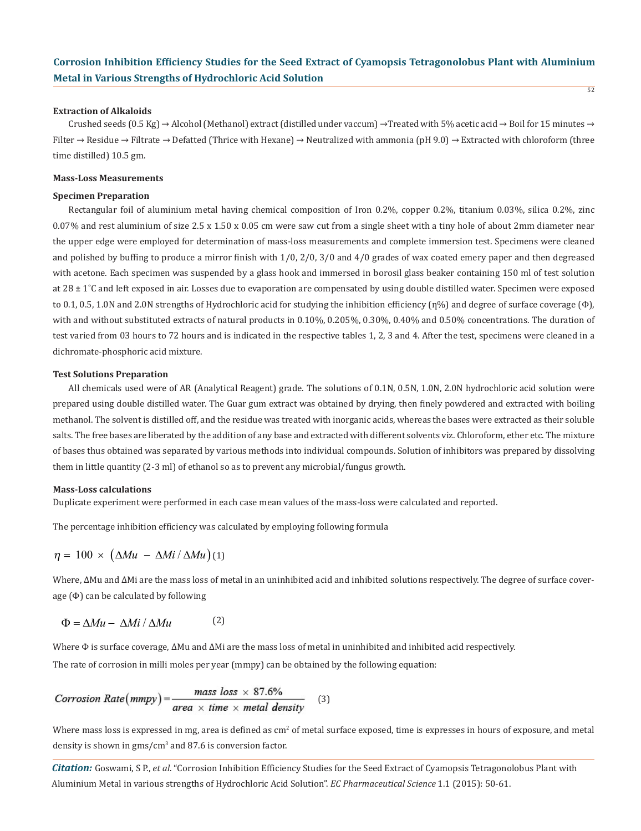### **Extraction of Alkaloids**

Crushed seeds (0.5 Kg)  $\rightarrow$  Alcohol (Methanol) extract (distilled under vaccum)  $\rightarrow$  Treated with 5% acetic acid  $\rightarrow$  Boil for 15 minutes  $\rightarrow$ Filter  $\rightarrow$  Residue  $\rightarrow$  Filtrate  $\rightarrow$  Defatted (Thrice with Hexane)  $\rightarrow$  Neutralized with ammonia (pH 9.0)  $\rightarrow$  Extracted with chloroform (three time distilled) 10.5 gm.

### **Mass-Loss Measurements**

#### **Specimen Preparation**

Rectangular foil of aluminium metal having chemical composition of Iron 0.2%, copper 0.2%, titanium 0.03%, silica 0.2%, zinc 0.07% and rest aluminium of size 2.5 x 1.50 x 0.05 cm were saw cut from a single sheet with a tiny hole of about 2mm diameter near the upper edge were employed for determination of mass-loss measurements and complete immersion test. Specimens were cleaned and polished by buffing to produce a mirror finish with 1/0, 2/0, 3/0 and 4/0 grades of wax coated emery paper and then degreased with acetone. Each specimen was suspended by a glass hook and immersed in borosil glass beaker containing 150 ml of test solution at 28 ± 1˚C and left exposed in air. Losses due to evaporation are compensated by using double distilled water. Specimen were exposed to 0.1, 0.5, 1.0N and 2.0N strengths of Hydrochloric acid for studying the inhibition efficiency (η%) and degree of surface coverage (Φ), with and without substituted extracts of natural products in 0.10%, 0.205%, 0.30%, 0.40% and 0.50% concentrations. The duration of test varied from 03 hours to 72 hours and is indicated in the respective tables 1, 2, 3 and 4. After the test, specimens were cleaned in a dichromate-phosphoric acid mixture.

#### **Test Solutions Preparation**

All chemicals used were of AR (Analytical Reagent) grade. The solutions of 0.1N, 0.5N, 1.0N, 2.0N hydrochloric acid solution were prepared using double distilled water. The Guar gum extract was obtained by drying, then finely powdered and extracted with boiling methanol. The solvent is distilled off, and the residue was treated with inorganic acids, whereas the bases were extracted as their soluble salts. The free bases are liberated by the addition of any base and extracted with different solvents viz. Chloroform, ether etc. The mixture of bases thus obtained was separated by various methods into individual compounds. Solution of inhibitors was prepared by dissolving them in little quantity (2-3 ml) of ethanol so as to prevent any microbial/fungus growth.

#### **Mass-Loss calculations**

Duplicate experiment were performed in each case mean values of the mass-loss were calculated and reported.

The percentage inhibition efficiency was calculated by employing following formula

$$
\eta = 100 \times (\Delta Mu - \Delta Mi / \Delta Mu)(1)
$$

Where, ΔMu and ΔMi are the mass loss of metal in an uninhibited acid and inhibited solutions respectively. The degree of surface coverage (Φ) can be calculated by following

$$
\Phi = \Delta M u - \Delta M i / \Delta M u \tag{2}
$$

Where Φ is surface coverage, ΔMu and ΔMi are the mass loss of metal in uninhibited and inhibited acid respectively.

The rate of corrosion in milli moles per year (mmpy) can be obtained by the following equation:

Corrosion Rate(mmpy) = 
$$
\frac{mass loss \times 87.6\%}{area \times time \times metal density}
$$
 (3)

Where mass loss is expressed in mg, area is defined as cm<sup>2</sup> of metal surface exposed, time is expresses in hours of exposure, and metal density is shown in gms/cm<sup>3</sup> and 87.6 is conversion factor.

*Citation:* Goswami, S P., *et al*. "Corrosion Inhibition Efficiency Studies for the Seed Extract of Cyamopsis Tetragonolobus Plant with Aluminium Metal in various strengths of Hydrochloric Acid Solution". *EC Pharmaceutical Science* 1.1 (2015): 50-61.

 $52$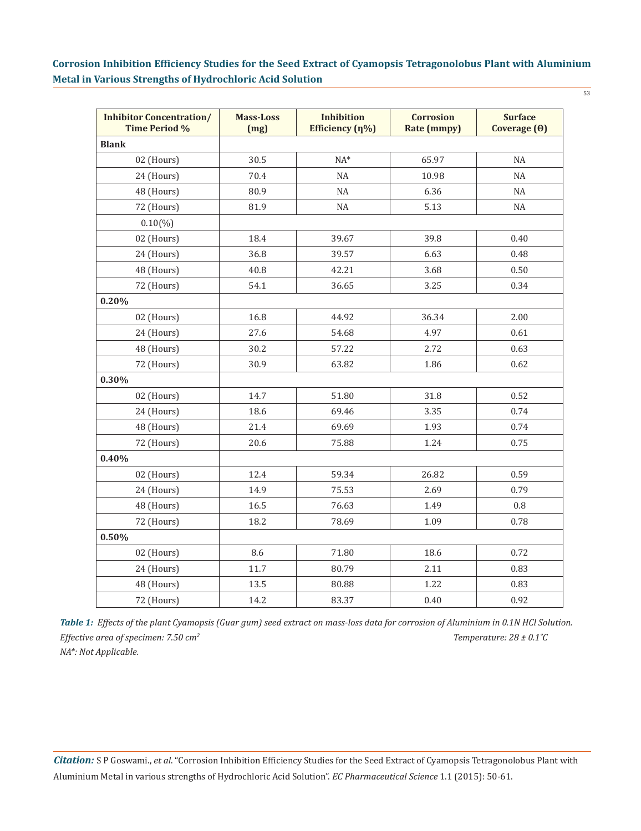| I<br>I<br>$\sim$<br>$\sim$ |  |
|----------------------------|--|
|                            |  |

| <b>Inhibitor Concentration/</b><br><b>Time Period %</b> | <b>Mass-Loss</b><br>(mg) | <b>Inhibition</b><br>Efficiency (η%) | <b>Corrosion</b><br>Rate (mmpy) | <b>Surface</b><br>Coverage $(\theta)$ |  |
|---------------------------------------------------------|--------------------------|--------------------------------------|---------------------------------|---------------------------------------|--|
| <b>Blank</b>                                            |                          |                                      |                                 |                                       |  |
| 02 (Hours)                                              | 30.5                     | $NA^*$                               | 65.97                           | $\rm NA$                              |  |
| 24 (Hours)                                              | 70.4                     | NA                                   | 10.98                           | <b>NA</b>                             |  |
| 48 (Hours)                                              | 80.9                     | NA                                   | 6.36                            | NA                                    |  |
| 72 (Hours)                                              | 81.9                     | NA                                   | 5.13                            | NA                                    |  |
| 0.10(%)                                                 |                          |                                      |                                 |                                       |  |
| 02 (Hours)                                              | 18.4                     | 39.67                                | 39.8                            | 0.40                                  |  |
| 24 (Hours)                                              | 36.8                     | 39.57                                | 6.63                            | 0.48                                  |  |
| 48 (Hours)                                              | 40.8                     | 42.21                                | 3.68                            | 0.50                                  |  |
| 72 (Hours)                                              | 54.1                     | 36.65                                | 3.25                            | 0.34                                  |  |
| 0.20%                                                   |                          |                                      |                                 |                                       |  |
| 02 (Hours)                                              | 16.8                     | 44.92                                | 36.34                           | 2.00                                  |  |
| 24 (Hours)                                              | 27.6                     | 54.68                                | 4.97                            | 0.61                                  |  |
| 48 (Hours)                                              | 30.2                     | 57.22                                | 2.72                            | 0.63                                  |  |
| 72 (Hours)                                              | 30.9                     | 63.82                                | 1.86                            | 0.62                                  |  |
| 0.30%                                                   |                          |                                      |                                 |                                       |  |
| 02 (Hours)                                              | 14.7                     | 51.80                                | 31.8                            | 0.52                                  |  |
| 24 (Hours)                                              | 18.6                     | 69.46                                | 3.35                            | 0.74                                  |  |
| 48 (Hours)                                              | 21.4                     | 69.69                                | 1.93<br>0.74                    |                                       |  |
| 72 (Hours)                                              | 20.6                     | 75.88                                | 1.24                            | 0.75                                  |  |
| 0.40%                                                   |                          |                                      |                                 |                                       |  |
| 02 (Hours)                                              | 12.4                     | 59.34                                | 26.82                           | 0.59                                  |  |
| 24 (Hours)                                              | 14.9                     | 75.53                                | 2.69                            | 0.79                                  |  |
| 48 (Hours)                                              | 16.5                     | 76.63                                | 1.49<br>0.8                     |                                       |  |
| 72 (Hours)                                              | 18.2                     | 78.69                                | 1.09                            | 0.78                                  |  |
| 0.50%                                                   |                          |                                      |                                 |                                       |  |
| 02 (Hours)                                              | 8.6                      | 71.80                                | 18.6<br>0.72                    |                                       |  |
| 24 (Hours)                                              | 11.7                     | 80.79                                | 2.11                            | 0.83                                  |  |
| 48 (Hours)                                              | 13.5                     | 80.88                                | 1.22                            | 0.83                                  |  |
| 72 (Hours)                                              | 14.2                     | 83.37                                | 0.40<br>0.92                    |                                       |  |

*Table 1: Effects of the plant Cyamopsis (Guar gum) seed extract on mass-loss data for corrosion of Aluminium in 0.1N HCl Solution. Effective area of specimen: 7.50 cm<sup>2</sup> Temperature: 28 ± 0.1˚C NA\*: Not Applicable.*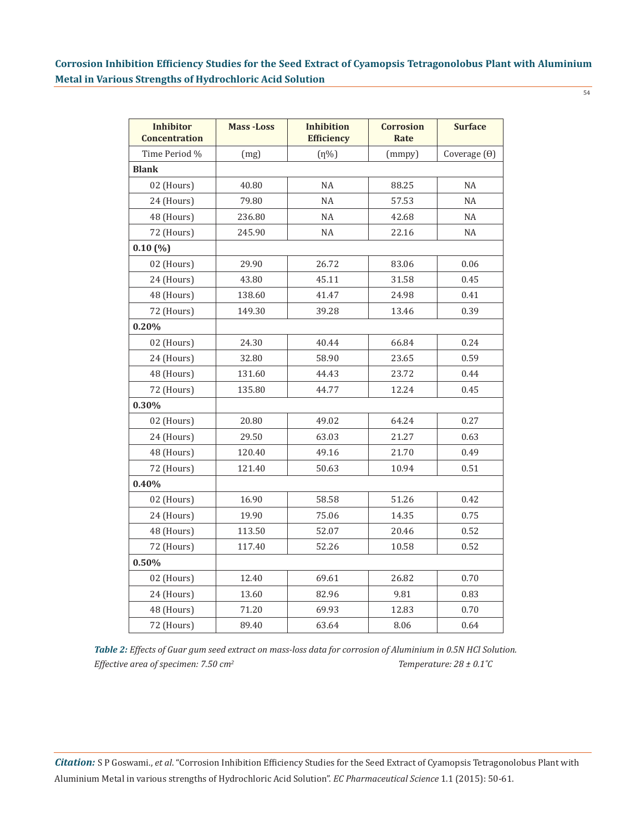54

| <b>Inhibitor</b><br><b>Concentration</b> | <b>Mass-Loss</b> | <b>Inhibition</b><br><b>Efficiency</b> | <b>Corrosion</b><br>Rate | <b>Surface</b>      |  |
|------------------------------------------|------------------|----------------------------------------|--------------------------|---------------------|--|
| Time Period %                            | (mg)             | $(\eta\%)$                             | (mmpy)                   | Coverage $(\theta)$ |  |
| <b>Blank</b>                             |                  |                                        |                          |                     |  |
| 02 (Hours)                               | 40.80            | NA                                     | 88.25                    | NA                  |  |
| 24 (Hours)                               | 79.80            | NA                                     | 57.53                    | NA                  |  |
| 48 (Hours)                               | 236.80           | NA                                     | 42.68                    | NA                  |  |
| 72 (Hours)                               | 245.90           | <b>NA</b>                              | 22.16                    | NA                  |  |
| 0.10(%)                                  |                  |                                        |                          |                     |  |
| 02 (Hours)                               | 29.90            | 26.72                                  | 83.06                    | 0.06                |  |
| 24 (Hours)                               | 43.80            | 45.11                                  | 31.58                    | 0.45                |  |
| 48 (Hours)                               | 138.60           | 41.47                                  | 24.98                    | 0.41                |  |
| 72 (Hours)                               | 149.30           | 39.28                                  | 13.46                    | 0.39                |  |
| 0.20%                                    |                  |                                        |                          |                     |  |
| 02 (Hours)                               | 24.30            | 40.44                                  | 66.84                    | 0.24                |  |
| 24 (Hours)                               | 32.80            | 58.90                                  | 23.65                    | 0.59                |  |
| 48 (Hours)                               | 131.60           | 44.43                                  | 23.72                    | 0.44                |  |
| 72 (Hours)                               | 135.80           | 44.77                                  | 12.24                    | 0.45                |  |
| 0.30%                                    |                  |                                        |                          |                     |  |
| 02 (Hours)                               | 20.80            | 49.02                                  | 64.24                    | 0.27                |  |
| 24 (Hours)                               | 29.50            | 63.03                                  | 21.27                    | 0.63                |  |
| 48 (Hours)                               | 120.40           | 49.16                                  | 21.70                    | 0.49                |  |
| 72 (Hours)                               | 121.40           | 50.63                                  | 10.94                    | 0.51                |  |
| 0.40%                                    |                  |                                        |                          |                     |  |
| 02 (Hours)                               | 16.90            | 58.58                                  | 51.26                    | 0.42                |  |
| 24 (Hours)                               | 19.90            | 75.06                                  | 14.35                    | 0.75                |  |
| 48 (Hours)                               | 113.50           | 52.07                                  | 20.46                    | 0.52                |  |
| 72 (Hours)                               | 117.40           | 52.26                                  | 10.58                    | 0.52                |  |
| 0.50%                                    |                  |                                        |                          |                     |  |
| 02 (Hours)                               | 12.40            | 69.61                                  | 26.82                    | 0.70                |  |
| 24 (Hours)                               | 13.60            | 82.96                                  | 9.81                     | 0.83                |  |
| 48 (Hours)                               | 71.20            | 69.93                                  | 12.83                    | 0.70                |  |
| 72 (Hours)                               | 89.40            | 63.64                                  | 8.06<br>0.64             |                     |  |

*Table 2: Effects of Guar gum seed extract on mass-loss data for corrosion of Aluminium in 0.5N HCl Solution. Effective area of specimen: 7.50 cm<sup>2</sup> Temperature: 28 ± 0.1˚C*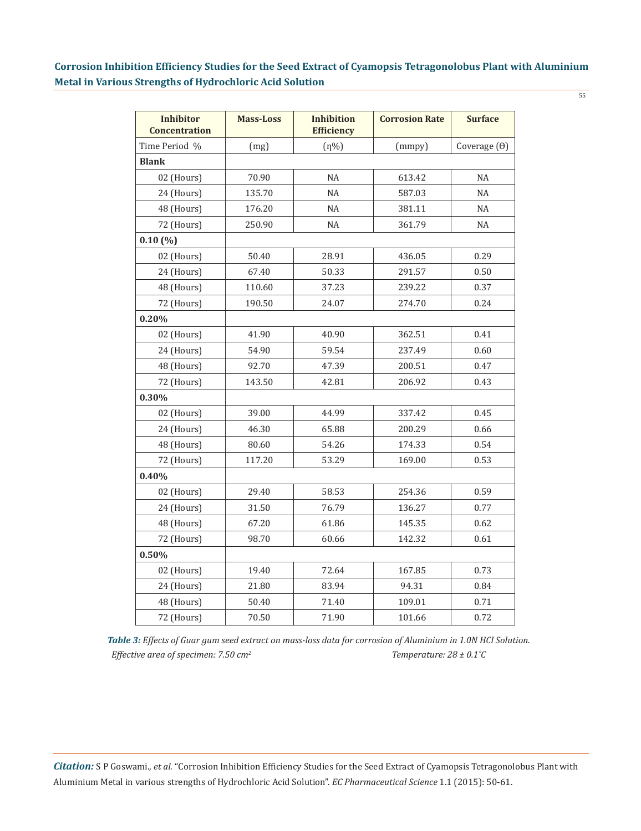55

| <b>Inhibitor</b><br><b>Concentration</b> | <b>Mass-Loss</b> | <b>Inhibition</b><br><b>Efficiency</b> | <b>Corrosion Rate</b> | <b>Surface</b>      |  |  |
|------------------------------------------|------------------|----------------------------------------|-----------------------|---------------------|--|--|
| Time Period %                            | (mg)             | $(n\%)$                                | (mmpy)                | Coverage $(\theta)$ |  |  |
| <b>Blank</b>                             |                  |                                        |                       |                     |  |  |
| 02 (Hours)                               | 70.90            | <b>NA</b>                              | 613.42                | NA                  |  |  |
| 24 (Hours)                               | 135.70           | NA                                     | 587.03                | <b>NA</b>           |  |  |
| 48 (Hours)                               | 176.20           | NA                                     | 381.11                | NA                  |  |  |
| 72 (Hours)                               | 250.90           | NA                                     | 361.79                | NA                  |  |  |
| 0.10(%)                                  |                  |                                        |                       |                     |  |  |
| 02 (Hours)                               | 50.40            | 28.91                                  | 436.05                | 0.29                |  |  |
| 24 (Hours)                               | 67.40            | 50.33                                  | 291.57                | 0.50                |  |  |
| 48 (Hours)                               | 110.60           | 37.23                                  | 239.22                | 0.37                |  |  |
| 72 (Hours)                               | 190.50           | 24.07                                  | 274.70                | 0.24                |  |  |
| 0.20%                                    |                  |                                        |                       |                     |  |  |
| 02 (Hours)                               | 41.90            | 40.90                                  | 362.51                | 0.41                |  |  |
| 24 (Hours)                               | 54.90            | 59.54                                  | 237.49                | 0.60                |  |  |
| 48 (Hours)                               | 92.70            | 47.39                                  | 200.51                | 0.47                |  |  |
| 72 (Hours)                               | 143.50           | 42.81                                  | 206.92                | 0.43                |  |  |
| 0.30%                                    |                  |                                        |                       |                     |  |  |
| 02 (Hours)                               | 39.00            | 44.99                                  | 337.42                | 0.45                |  |  |
| 24 (Hours)                               | 46.30            | 65.88                                  | 200.29                | 0.66                |  |  |
| 48 (Hours)                               | 80.60            | 54.26                                  | 174.33                | 0.54                |  |  |
| 72 (Hours)                               | 117.20           | 53.29                                  | 169.00                | 0.53                |  |  |
| 0.40%                                    |                  |                                        |                       |                     |  |  |
| 02 (Hours)                               | 29.40            | 58.53                                  | 254.36                | 0.59                |  |  |
| 24 (Hours)                               | 31.50            | 76.79                                  | 136.27                | 0.77                |  |  |
| 48 (Hours)                               | 67.20            | 61.86                                  | 145.35                | 0.62                |  |  |
| 72 (Hours)                               | 98.70            | 60.66                                  | 142.32                | 0.61                |  |  |
| 0.50%                                    |                  |                                        |                       |                     |  |  |
| 02 (Hours)                               | 19.40            | 72.64                                  | 167.85                | 0.73                |  |  |
| 24 (Hours)                               | 21.80            | 83.94                                  | 94.31                 | 0.84                |  |  |
| 48 (Hours)                               | 50.40            | 71.40                                  | 109.01                | 0.71                |  |  |
| 72 (Hours)                               | 70.50            | 71.90                                  | 0.72<br>101.66        |                     |  |  |

*Table 3: Effects of Guar gum seed extract on mass-loss data for corrosion of Aluminium in 1.0N HCl Solution. Effective area of specimen: 7.50 cm2 Temperature: 28 ± 0.1˚C*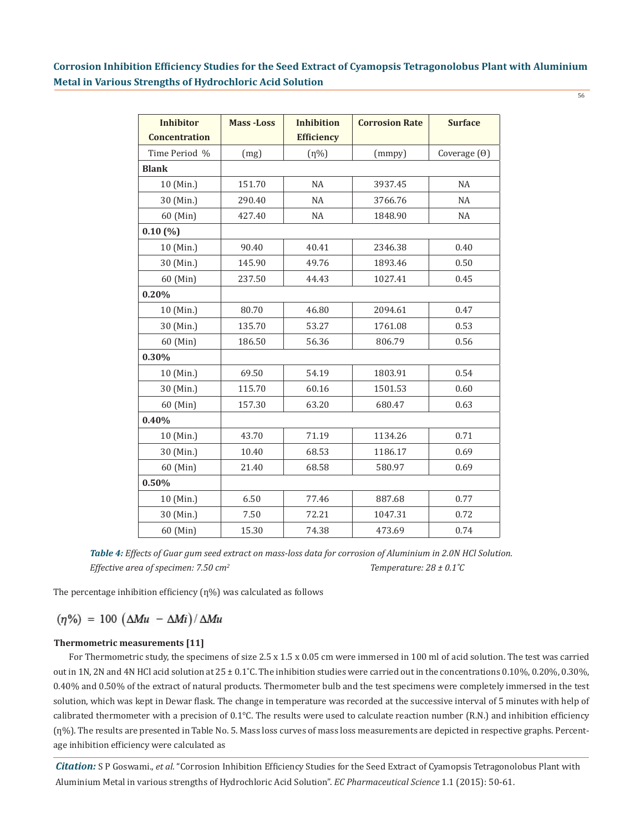56

| <b>Inhibitor</b>     | <b>Mass-Loss</b> | <b>Inhibition</b> | <b>Corrosion Rate</b> | <b>Surface</b>      |
|----------------------|------------------|-------------------|-----------------------|---------------------|
| <b>Concentration</b> |                  | <b>Efficiency</b> |                       |                     |
| Time Period %        | (mg)             | $(\eta\%)$        | (mmpy)                | Coverage $(\theta)$ |
| <b>Blank</b>         |                  |                   |                       |                     |
| 10 (Min.)            | 151.70           | NA                | 3937.45               | <b>NA</b>           |
| 30 (Min.)            | 290.40           | NA                | 3766.76               | <b>NA</b>           |
| 60 (Min)             | 427.40           | NA                | 1848.90               | <b>NA</b>           |
| $0.10\ (%)$          |                  |                   |                       |                     |
| 10 (Min.)            | 90.40            | 40.41             | 2346.38               | 0.40                |
| 30 (Min.)            | 145.90           | 49.76             | 1893.46               | 0.50                |
| 60 (Min)             | 237.50           | 44.43             | 1027.41               | 0.45                |
| 0.20%                |                  |                   |                       |                     |
| 10 (Min.)            | 80.70            | 46.80             | 2094.61               | 0.47                |
| 30 (Min.)            | 135.70           | 53.27             | 1761.08               | 0.53                |
| 60 (Min)             | 186.50           | 56.36             | 806.79                | 0.56                |
| 0.30%                |                  |                   |                       |                     |
| 10 (Min.)            | 69.50            | 54.19             | 1803.91               | 0.54                |
| 30 (Min.)            | 115.70           | 60.16             | 1501.53               | 0.60                |
| 60 (Min)             | 157.30           | 63.20             | 680.47                | 0.63                |
| 0.40%                |                  |                   |                       |                     |
| 10 (Min.)            | 43.70            | 71.19             | 1134.26               | 0.71                |
| 30 (Min.)            | 10.40            | 68.53             | 1186.17               | 0.69                |
| 60 (Min)             | 21.40            | 68.58             | 580.97                | 0.69                |
| 0.50%                |                  |                   |                       |                     |
| 10 (Min.)            | 6.50             | 77.46             | 887.68                | 0.77                |
| 30 (Min.)            | 7.50             | 72.21             | 1047.31               | 0.72                |
| 60 (Min)             | 15.30            | 74.38             | 473.69<br>0.74        |                     |

*Table 4: Effects of Guar gum seed extract on mass-loss data for corrosion of Aluminium in 2.0N HCl Solution. Effective area of specimen: 7.50 cm<sup>2</sup>Temperature: 28 ± 0.1˚C*

The percentage inhibition efficiency  $(n\%)$  was calculated as follows

## $(\eta\%) = 100 \left(\Delta Mu - \Delta Mi\right)/\Delta Mu$

### **Thermometric measurements [11]**

For Thermometric study, the specimens of size 2.5 x 1.5 x 0.05 cm were immersed in 100 ml of acid solution. The test was carried out in 1N, 2N and 4N HCl acid solution at 25 ± 0.1˚C. The inhibition studies were carried out in the concentrations 0.10%, 0.20%, 0.30%, 0.40% and 0.50% of the extract of natural products. Thermometer bulb and the test specimens were completely immersed in the test solution, which was kept in Dewar flask. The change in temperature was recorded at the successive interval of 5 minutes with help of calibrated thermometer with a precision of  $0.1^{\circ}$ C. The results were used to calculate reaction number (R.N.) and inhibition efficiency (ƞ%). The results are presented in Table No. 5. Mass loss curves of mass loss measurements are depicted in respective graphs. Percentage inhibition efficiency were calculated as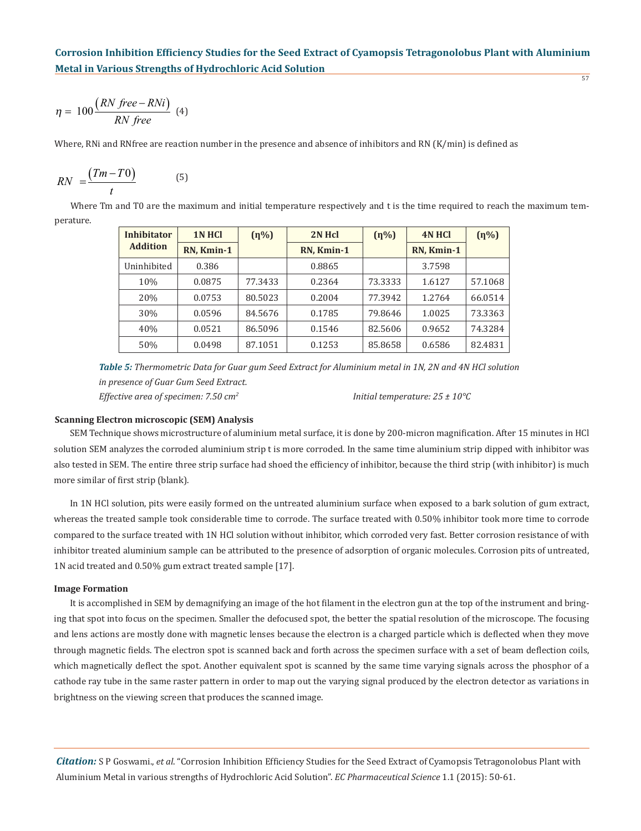57

$$
\eta = 100 \frac{(RN \text{ free} - RNi)}{RN \text{ free}}
$$
 (4)

Where, RNi and RNfree are reaction number in the presence and absence of inhibitors and RN (K/min) is defined as

$$
RN = \frac{(Tm - T0)}{t}
$$
 (5)

Where Tm and T0 are the maximum and initial temperature respectively and t is the time required to reach the maximum temperature.

| <b>Inhibitator</b> | 1N HCI     | $(\eta\%)$ | 2N Hcl     | $(\eta\% )$ | <b>4NHCl</b> | $(\eta\% )$ |
|--------------------|------------|------------|------------|-------------|--------------|-------------|
| <b>Addition</b>    | RN, Kmin-1 |            | RN, Kmin-1 |             | RN, Kmin-1   |             |
| Uninhibited        | 0.386      |            | 0.8865     |             | 3.7598       |             |
| 10%                | 0.0875     | 77.3433    | 0.2364     | 73.3333     | 1.6127       | 57.1068     |
| 20%                | 0.0753     | 80.5023    | 0.2004     | 77.3942     | 1.2764       | 66.0514     |
| 30%                | 0.0596     | 84.5676    | 0.1785     | 79.8646     | 1.0025       | 73.3363     |
| 40%                | 0.0521     | 86.5096    | 0.1546     | 82.5606     | 0.9652       | 74.3284     |
| 50%                | 0.0498     | 87.1051    | 0.1253     | 85.8658     | 0.6586       | 82.4831     |

*Table 5: Thermometric Data for Guar gum Seed Extract for Aluminium metal in 1N, 2N and 4N HCl solution in presence of Guar Gum Seed Extract. Effective area of specimen: 7.50 cm<sup>2</sup> Initial temperature: 25 ± 10°C*

**Scanning Electron microscopic (SEM) Analysis**

SEM Technique shows microstructure of aluminium metal surface, it is done by 200-micron magnification. After 15 minutes in HCl solution SEM analyzes the corroded aluminium strip t is more corroded. In the same time aluminium strip dipped with inhibitor was also tested in SEM. The entire three strip surface had shoed the efficiency of inhibitor, because the third strip (with inhibitor) is much more similar of first strip (blank).

In 1N HCl solution, pits were easily formed on the untreated aluminium surface when exposed to a bark solution of gum extract, whereas the treated sample took considerable time to corrode. The surface treated with 0.50% inhibitor took more time to corrode compared to the surface treated with 1N HCl solution without inhibitor, which corroded very fast. Better corrosion resistance of with inhibitor treated aluminium sample can be attributed to the presence of adsorption of organic molecules. Corrosion pits of untreated, 1N acid treated and 0.50% gum extract treated sample [17].

#### **Image Formation**

It is accomplished in SEM by demagnifying an image of the hot filament in the electron gun at the top of the instrument and bringing that spot into focus on the specimen. Smaller the defocused spot, the better the spatial resolution of the microscope. The focusing and lens actions are mostly done with magnetic lenses because the electron is a charged particle which is deflected when they move through magnetic fields. The electron spot is scanned back and forth across the specimen surface with a set of beam deflection coils, which magnetically deflect the spot. Another equivalent spot is scanned by the same time varying signals across the phosphor of a cathode ray tube in the same raster pattern in order to map out the varying signal produced by the electron detector as variations in brightness on the viewing screen that produces the scanned image.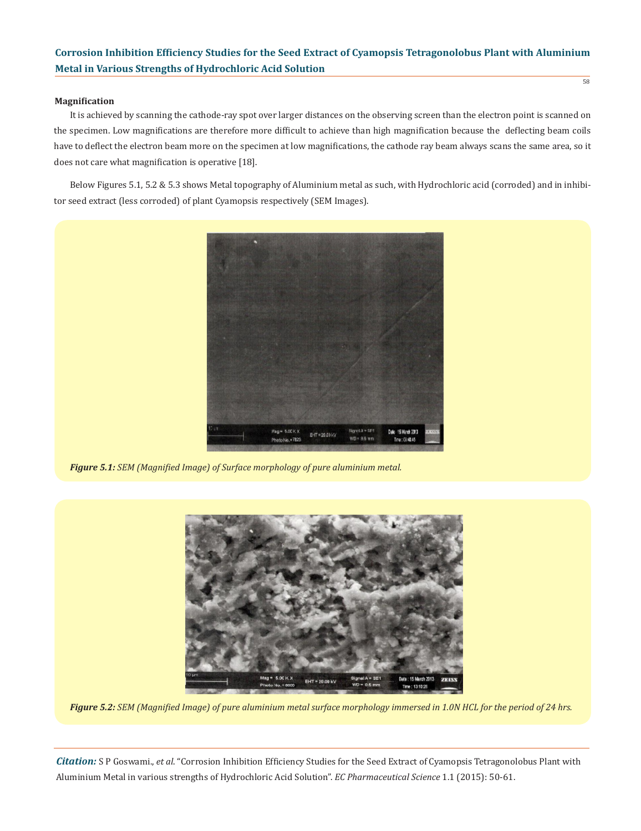### **Magnification**

It is achieved by scanning the cathode-ray spot over larger distances on the observing screen than the electron point is scanned on the specimen. Low magnifications are therefore more difficult to achieve than high magnification because the deflecting beam coils have to deflect the electron beam more on the specimen at low magnifications, the cathode ray beam always scans the same area, so it does not care what magnification is operative [18].

Below Figures 5.1, 5.2 & 5.3 shows Metal topography of Aluminium metal as such, with Hydrochloric acid (corroded) and in inhibitor seed extract (less corroded) of plant Cyamopsis respectively (SEM Images).



*Figure 5.1: SEM (Magnified Image) of Surface morphology of pure aluminium metal.*



*Figure 5.2: SEM (Magnified Image) of pure aluminium metal surface morphology immersed in 1.0N HCL for the period of 24 hrs.*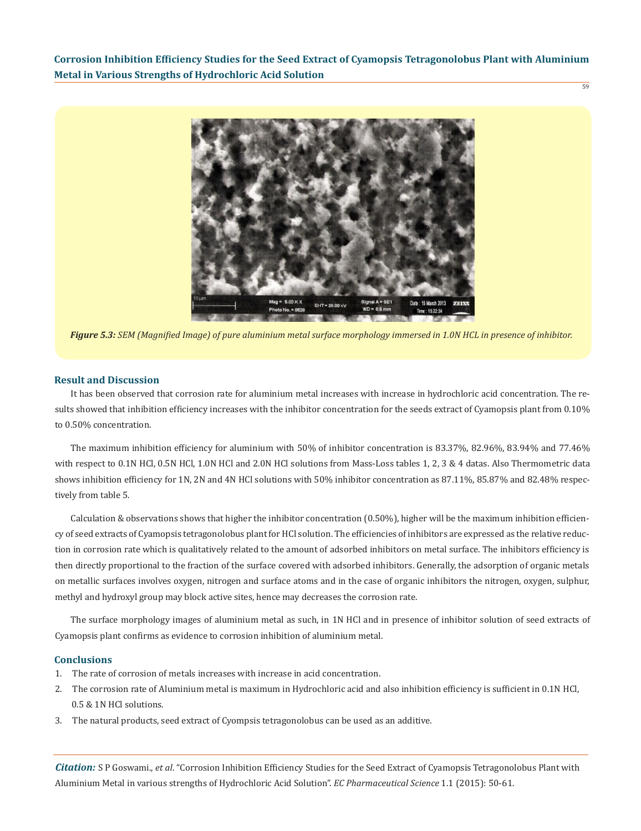$\overline{59}$ 



*Figure 5.3: SEM (Magnified Image) of pure aluminium metal surface morphology immersed in 1.0N HCL in presence of inhibitor.*

### **Result and Discussion**

It has been observed that corrosion rate for aluminium metal increases with increase in hydrochloric acid concentration. The results showed that inhibition efficiency increases with the inhibitor concentration for the seeds extract of Cyamopsis plant from 0.10% to 0.50% concentration.

The maximum inhibition efficiency for aluminium with 50% of inhibitor concentration is 83.37%, 82.96%, 83.94% and 77.46% with respect to 0.1N HCl, 0.5N HCl, 1.0N HCl and 2.0N HCl solutions from Mass-Loss tables 1, 2, 3 & 4 datas. Also Thermometric data shows inhibition efficiency for 1N, 2N and 4N HCl solutions with 50% inhibitor concentration as 87.11%, 85.87% and 82.48% respectively from table 5.

Calculation & observations shows that higher the inhibitor concentration (0.50%), higher will be the maximum inhibition efficiency of seed extracts of Cyamopsis tetragonolobus plant for HCl solution. The efficiencies of inhibitors are expressed as the relative reduction in corrosion rate which is qualitatively related to the amount of adsorbed inhibitors on metal surface. The inhibitors efficiency is then directly proportional to the fraction of the surface covered with adsorbed inhibitors. Generally, the adsorption of organic metals on metallic surfaces involves oxygen, nitrogen and surface atoms and in the case of organic inhibitors the nitrogen, oxygen, sulphur, methyl and hydroxyl group may block active sites, hence may decreases the corrosion rate.

The surface morphology images of aluminium metal as such, in 1N HCl and in presence of inhibitor solution of seed extracts of Cyamopsis plant confirms as evidence to corrosion inhibition of aluminium metal.

### **Conclusions**

- 1. The rate of corrosion of metals increases with increase in acid concentration.
- 2. The corrosion rate of Aluminium metal is maximum in Hydrochloric acid and also inhibition efficiency is sufficient in 0.1N HCl, 0.5 & 1N HCl solutions.
- 3. The natural products, seed extract of Cyompsis tetragonolobus can be used as an additive.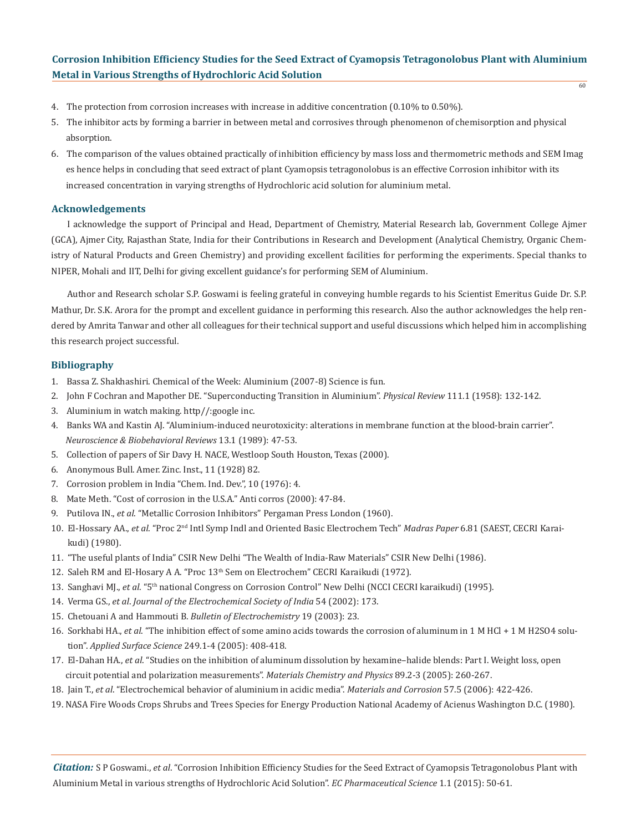$60$ 

- 4. The protection from corrosion increases with increase in additive concentration (0.10% to 0.50%).
- 5. The inhibitor acts by forming a barrier in between metal and corrosives through phenomenon of chemisorption and physical absorption.
- 6. The comparison of the values obtained practically of inhibition efficiency by mass loss and thermometric methods and SEM Imag es hence helps in concluding that seed extract of plant Cyamopsis tetragonolobus is an effective Corrosion inhibitor with its increased concentration in varying strengths of Hydrochloric acid solution for aluminium metal.

### **Acknowledgements**

I acknowledge the support of Principal and Head, Department of Chemistry, Material Research lab, Government College Ajmer (GCA), Ajmer City, Rajasthan State, India for their Contributions in Research and Development (Analytical Chemistry, Organic Chemistry of Natural Products and Green Chemistry) and providing excellent facilities for performing the experiments. Special thanks to NIPER, Mohali and IIT, Delhi for giving excellent guidance's for performing SEM of Aluminium.

Author and Research scholar S.P. Goswami is feeling grateful in conveying humble regards to his Scientist Emeritus Guide Dr. S.P. Mathur, Dr. S.K. Arora for the prompt and excellent guidance in performing this research. Also the author acknowledges the help rendered by Amrita Tanwar and other all colleagues for their technical support and useful discussions which helped him in accomplishing this research project successful.

### **Bibliography**

- 1. Bassa Z. Shakhashiri. Chemical of the Week: Aluminium (2007-8) Science is fun.
- 2. John F Cochran and Mapother DE. "Superconducting Transition in Aluminium". *Physical Review* 111.1 (1958): 132-142.
- 3. Aluminium in watch making. http//:google inc.
- 4. Banks WA and Kastin AJ. "Aluminium-induced neurotoxicity: alterations in membrane function at the blood-brain carrier". *Neuroscience & Biobehavioral Reviews* 13.1 (1989): 47-53.
- 5. Collection of papers of Sir Davy H. NACE, Westloop South Houston, Texas (2000).
- 6. Anonymous Bull. Amer. Zinc. Inst., 11 (1928) 82.
- 7. Corrosion problem in India "Chem. Ind. Dev.", 10 (1976): 4.
- 8. Mate Meth. "Cost of corrosion in the U.S.A." Anti corros (2000): 47-84.
- 9. Putilova IN., *et al*. "Metallic Corrosion Inhibitors" Pergaman Press London (1960).
- 10. El-Hossary AA., *et al*. "Proc 2nd Intl Symp Indl and Oriented Basic Electrochem Tech" *Madras Paper* 6.81 (SAEST, CECRI Karai kudi) (1980).
- 11. "The useful plants of India" CSIR New Delhi "The Wealth of India-Raw Materials" CSIR New Delhi (1986).
- 12. Saleh RM and El-Hosary A A. "Proc 13th Sem on Electrochem" CECRI Karaikudi (1972).
- 13. Sanghavi MJ., *et al*. "5th national Congress on Corrosion Control" New Delhi (NCCI CECRI karaikudi) (1995).
- 14. Verma GS., *et al*. *Journal of the Electrochemical Society of India* 54 (2002): 173.
- 15. Chetouani A and Hammouti B. *Bulletin of Electrochemistry* 19 (2003): 23.
- 16. Sorkhabi HA., *et al*. "The inhibition effect of some amino acids towards the corrosion of aluminum in 1 M HCl + 1 M H2SO4 solu tion". *Applied Surface Science* 249.1-4 (2005): 408-418.
- 17. El-Dahan HA., *et al*. "Studies on the inhibition of aluminum dissolution by hexamine–halide blends: Part I. Weight loss, open circuit potential and polarization measurements". *Materials Chemistry and Physics* 89.2-3 (2005): 260-267.
- 18. Jain T., *et al*. "Electrochemical behavior of aluminium in acidic media". *Materials and Corrosion* 57.5 (2006): 422-426.
- 19. NASA Fire Woods Crops Shrubs and Trees Species for Energy Production National Academy of Acienus Washington D.C. (1980).